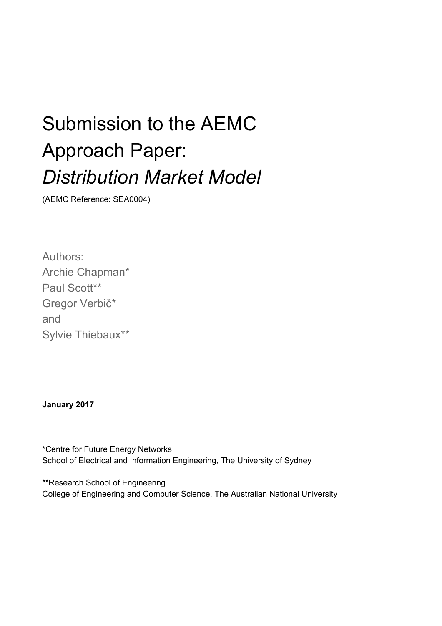# Submission to the AEMC Approach Paper: *Distribution Market Model*

(AEMC Reference: SEA0004)

Authors: Archie Chapman\* Paul Scott\*\* Gregor Verbič\* and Sylvie Thiebaux\*\*

**January 2017**

\*Centre for Future Energy Networks School of Electrical and Information Engineering, The University of Sydney

\*\*Research School of Engineering College of Engineering and Computer Science, The Australian National University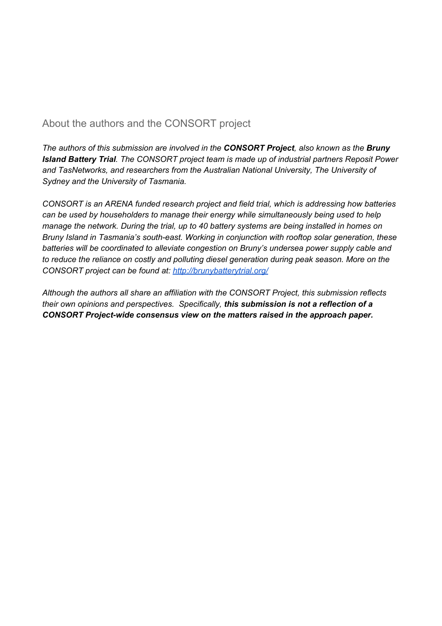#### About the authors and the CONSORT project

*The authors of this submission are involved in the CONSORT Project, also known as the Bruny Island Battery Trial. The CONSORT project team is made up of industrial partners Reposit Power and TasNetworks, and researchers from the Australian National University, The University of Sydney and the University of Tasmania.*

*CONSORT is an ARENA funded research project and field trial, which is addressing how batteries can be used by householders to manage their energy while simultaneously being used to help manage the network. During the trial, up to 40 battery systems are being installed in homes on Bruny Island in Tasmania's south-east. Working in conjunction with rooftop solar generation, these batteries will be coordinated to alleviate congestion on Bruny's undersea power supply cable and to reduce the reliance on costly and polluting diesel generation during peak season. More on the CONSORT project can be found at: <http://brunybatterytrial.org/>*

*Although the authors all share an affiliation with the CONSORT Project, this submission reflects their own opinions and perspectives. Specifically, this submission is not a reflection of a CONSORT Project-wide consensus view on the matters raised in the approach paper.*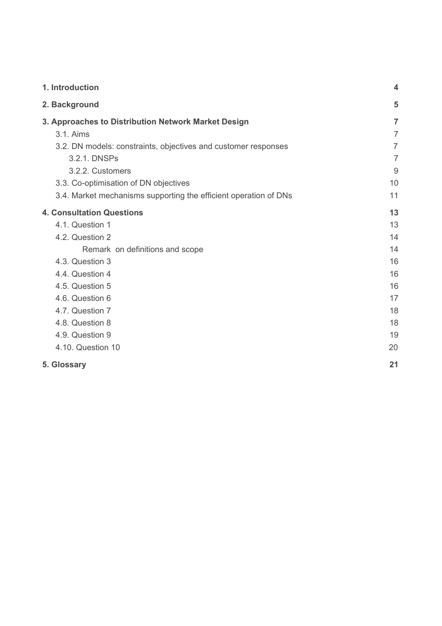| 1. Introduction                                                  | $\overline{\mathbf{4}}$ |
|------------------------------------------------------------------|-------------------------|
| 2. Background                                                    | 5                       |
| 3. Approaches to Distribution Network Market Design              | $\overline{7}$          |
| 3.1. Aims                                                        | $\overline{7}$          |
| 3.2. DN models: constraints, objectives and customer responses   | $\overline{7}$          |
| 3.2.1. DNSPs                                                     | $\overline{7}$          |
| 3.2.2. Customers                                                 | 9                       |
| 3.3. Co-optimisation of DN objectives                            | 10                      |
| 3.4. Market mechanisms supporting the efficient operation of DNs | 11                      |
| <b>4. Consultation Questions</b>                                 | 13                      |
| 4.1. Question 1                                                  | 13                      |
| 4.2. Question 2                                                  | 14                      |
| Remark on definitions and scope                                  | 14                      |
| 4.3. Question 3                                                  | 16                      |
| 4.4. Question 4                                                  | 16                      |
| 4.5. Question 5                                                  | 16                      |
| 4.6. Question 6                                                  | 17                      |
| 4.7. Question 7                                                  | 18                      |
| 4.8. Question 8                                                  | 18                      |
| 4.9. Question 9                                                  | 19                      |
| 4.10. Question 10                                                | 20                      |
| 5. Glossary                                                      | 21                      |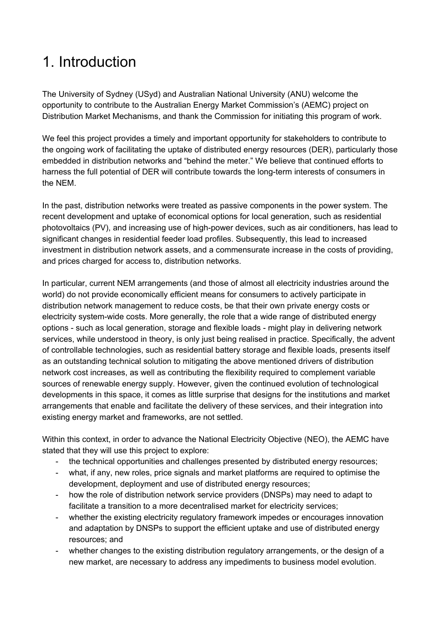## <span id="page-3-0"></span>1. Introduction

The University of Sydney (USyd) and Australian National University (ANU) welcome the opportunity to contribute to the Australian Energy Market Commission's (AEMC) project on Distribution Market Mechanisms, and thank the Commission for initiating this program of work.

We feel this project provides a timely and important opportunity for stakeholders to contribute to the ongoing work of facilitating the uptake of distributed energy resources (DER), particularly those embedded in distribution networks and "behind the meter." We believe that continued efforts to harness the full potential of DER will contribute towards the long-term interests of consumers in the NEM.

In the past, distribution networks were treated as passive components in the power system. The recent development and uptake of economical options for local generation, such as residential photovoltaics (PV), and increasing use of high-power devices, such as air conditioners, has lead to significant changes in residential feeder load profiles. Subsequently, this lead to increased investment in distribution network assets, and a commensurate increase in the costs of providing, and prices charged for access to, distribution networks.

In particular, current NEM arrangements (and those of almost all electricity industries around the world) do not provide economically efficient means for consumers to actively participate in distribution network management to reduce costs, be that their own private energy costs or electricity system-wide costs. More generally, the role that a wide range of distributed energy options - such as local generation, storage and flexible loads - might play in delivering network services, while understood in theory, is only just being realised in practice. Specifically, the advent of controllable technologies, such as residential battery storage and flexible loads, presents itself as an outstanding technical solution to mitigating the above mentioned drivers of distribution network cost increases, as well as contributing the flexibility required to complement variable sources of renewable energy supply. However, given the continued evolution of technological developments in this space, it comes as little surprise that designs for the institutions and market arrangements that enable and facilitate the delivery of these services, and their integration into existing energy market and frameworks, are not settled.

Within this context, in order to advance the National Electricity Objective (NEO), the AEMC have stated that they will use this project to explore:

- the technical opportunities and challenges presented by distributed energy resources;
- what, if any, new roles, price signals and market platforms are required to optimise the development, deployment and use of distributed energy resources;
- how the role of distribution network service providers (DNSPs) may need to adapt to facilitate a transition to a more decentralised market for electricity services;
- whether the existing electricity regulatory framework impedes or encourages innovation and adaptation by DNSPs to support the efficient uptake and use of distributed energy resources; and
- whether changes to the existing distribution regulatory arrangements, or the design of a new market, are necessary to address any impediments to business model evolution.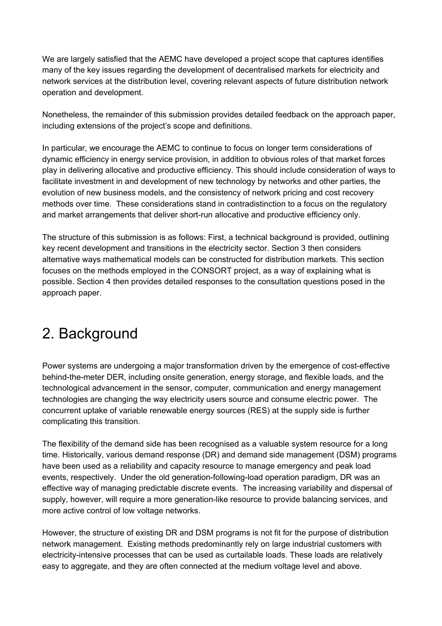We are largely satisfied that the AEMC have developed a project scope that captures identifies many of the key issues regarding the development of decentralised markets for electricity and network services at the distribution level, covering relevant aspects of future distribution network operation and development.

Nonetheless, the remainder of this submission provides detailed feedback on the approach paper, including extensions of the project's scope and definitions.

In particular, we encourage the AEMC to continue to focus on longer term considerations of dynamic efficiency in energy service provision, in addition to obvious roles of that market forces play in delivering allocative and productive efficiency. This should include consideration of ways to facilitate investment in and development of new technology by networks and other parties, the evolution of new business models, and the consistency of network pricing and cost recovery methods over time. These considerations stand in contradistinction to a focus on the regulatory and market arrangements that deliver short-run allocative and productive efficiency only.

The structure of this submission is as follows: First, a technical background is provided, outlining key recent development and transitions in the electricity sector. Section 3 then considers alternative ways mathematical models can be constructed for distribution markets. This section focuses on the methods employed in the CONSORT project, as a way of explaining what is possible. Section 4 then provides detailed responses to the consultation questions posed in the approach paper.

## <span id="page-4-0"></span>2. Background

Power systems are undergoing a major transformation driven by the emergence of cost-effective behind-the-meter DER, including onsite generation, energy storage, and flexible loads, and the technological advancement in the sensor, computer, communication and energy management technologies are changing the way electricity users source and consume electric power. The concurrent uptake of variable renewable energy sources (RES) at the supply side is further complicating this transition.

The flexibility of the demand side has been recognised as a valuable system resource for a long time. Historically, various demand response (DR) and demand side management (DSM) programs have been used as a reliability and capacity resource to manage emergency and peak load events, respectively. Under the old generation-following-load operation paradigm, DR was an effective way of managing predictable discrete events. The increasing variability and dispersal of supply, however, will require a more generation-like resource to provide balancing services, and more active control of low voltage networks.

However, the structure of existing DR and DSM programs is not fit for the purpose of distribution network management. Existing methods predominantly rely on large industrial customers with electricity-intensive processes that can be used as curtailable loads. These loads are relatively easy to aggregate, and they are often connected at the medium voltage level and above.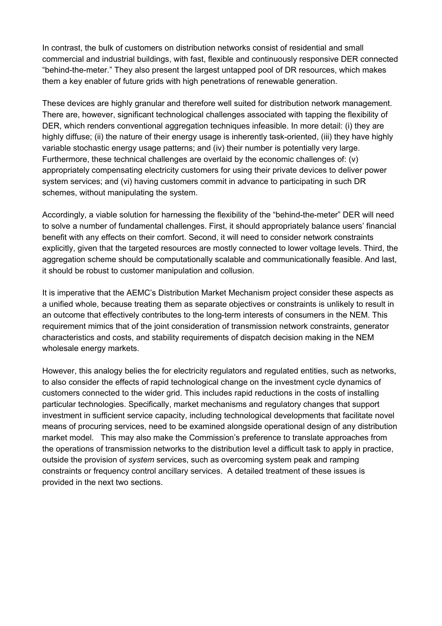In contrast, the bulk of customers on distribution networks consist of residential and small commercial and industrial buildings, with fast, flexible and continuously responsive DER connected "behind-the-meter." They also present the largest untapped pool of DR resources, which makes them a key enabler of future grids with high penetrations of renewable generation.

These devices are highly granular and therefore well suited for distribution network management. There are, however, significant technological challenges associated with tapping the flexibility of DER, which renders conventional aggregation techniques infeasible. In more detail: (i) they are highly diffuse; (ii) the nature of their energy usage is inherently task-oriented, (iii) they have highly variable stochastic energy usage patterns; and (iv) their number is potentially very large. Furthermore, these technical challenges are overlaid by the economic challenges of: (v) appropriately compensating electricity customers for using their private devices to deliver power system services; and (vi) having customers commit in advance to participating in such DR schemes, without manipulating the system.

Accordingly, a viable solution for harnessing the flexibility of the "behind-the-meter" DER will need to solve a number of fundamental challenges. First, it should appropriately balance users' financial benefit with any effects on their comfort. Second, it will need to consider network constraints explicitly, given that the targeted resources are mostly connected to lower voltage levels. Third, the aggregation scheme should be computationally scalable and communicationally feasible. And last, it should be robust to customer manipulation and collusion.

It is imperative that the AEMC's Distribution Market Mechanism project consider these aspects as a unified whole, because treating them as separate objectives or constraints is unlikely to result in an outcome that effectively contributes to the long-term interests of consumers in the NEM. This requirement mimics that of the joint consideration of transmission network constraints, generator characteristics and costs, and stability requirements of dispatch decision making in the NEM wholesale energy markets.

However, this analogy belies the for electricity regulators and regulated entities, such as networks, to also consider the effects of rapid technological change on the investment cycle dynamics of customers connected to the wider grid. This includes rapid reductions in the costs of installing particular technologies. Specifically, market mechanisms and regulatory changes that support investment in sufficient service capacity, including technological developments that facilitate novel means of procuring services, need to be examined alongside operational design of any distribution market model. This may also make the Commission's preference to translate approaches from the operations of transmission networks to the distribution level a difficult task to apply in practice, outside the provision of *system* services, such as overcoming system peak and ramping constraints or frequency control ancillary services. A detailed treatment of these issues is provided in the next two sections.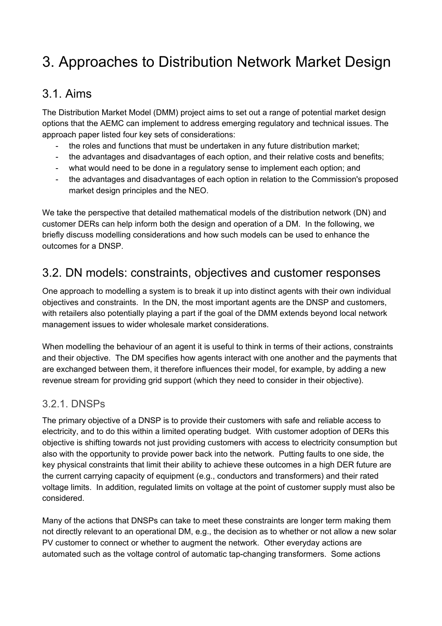## <span id="page-7-0"></span>3. Approaches to Distribution Network Market Design

### <span id="page-7-1"></span>3.1. Aims

The Distribution Market Model (DMM) project aims to set out a range of potential market design options that the AEMC can implement to address emerging regulatory and technical issues. The approach paper listed four key sets of considerations:

- the roles and functions that must be undertaken in any future distribution market;
- the advantages and disadvantages of each option, and their relative costs and benefits;
- what would need to be done in a regulatory sense to implement each option; and
- the advantages and disadvantages of each option in relation to the Commission's proposed market design principles and the NEO.

We take the perspective that detailed mathematical models of the distribution network (DN) and customer DERs can help inform both the design and operation of a DM. In the following, we briefly discuss modelling considerations and how such models can be used to enhance the outcomes for a DNSP.

### <span id="page-7-2"></span>3.2. DN models: constraints, objectives and customer responses

One approach to modelling a system is to break it up into distinct agents with their own individual objectives and constraints. In the DN, the most important agents are the DNSP and customers, with retailers also potentially playing a part if the goal of the DMM extends beyond local network management issues to wider wholesale market considerations.

When modelling the behaviour of an agent it is useful to think in terms of their actions, constraints and their objective. The DM specifies how agents interact with one another and the payments that are exchanged between them, it therefore influences their model, for example, by adding a new revenue stream for providing grid support (which they need to consider in their objective).

### <span id="page-7-3"></span>3.2.1. DNSPs

The primary objective of a DNSP is to provide their customers with safe and reliable access to electricity, and to do this within a limited operating budget. With customer adoption of DERs this objective is shifting towards not just providing customers with access to electricity consumption but also with the opportunity to provide power back into the network. Putting faults to one side, the key physical constraints that limit their ability to achieve these outcomes in a high DER future are the current carrying capacity of equipment (e.g., conductors and transformers) and their rated voltage limits. In addition, regulated limits on voltage at the point of customer supply must also be considered.

Many of the actions that DNSPs can take to meet these constraints are longer term making them not directly relevant to an operational DM, e.g., the decision as to whether or not allow a new solar PV customer to connect or whether to augment the network. Other everyday actions are automated such as the voltage control of automatic tap-changing transformers. Some actions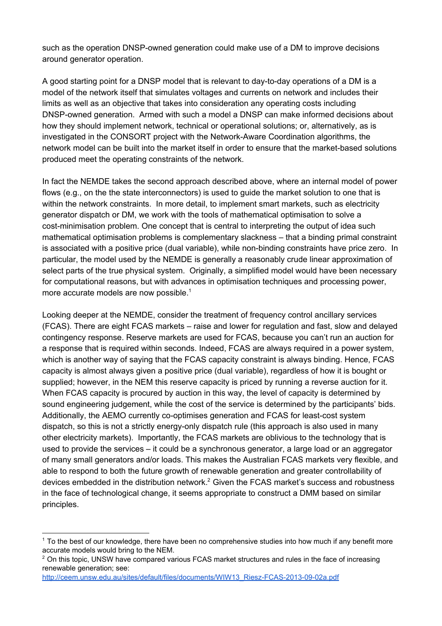such as the operation DNSP-owned generation could make use of a DM to improve decisions around generator operation.

A good starting point for a DNSP model that is relevant to day-to-day operations of a DM is a model of the network itself that simulates voltages and currents on network and includes their limits as well as an objective that takes into consideration any operating costs including DNSP-owned generation. Armed with such a model a DNSP can make informed decisions about how they should implement network, technical or operational solutions; or, alternatively, as is investigated in the CONSORT project with the Network-Aware Coordination algorithms, the network model can be built into the market itself in order to ensure that the market-based solutions produced meet the operating constraints of the network.

In fact the NEMDE takes the second approach described above, where an internal model of power flows (e.g., on the the state interconnectors) is used to guide the market solution to one that is within the network constraints. In more detail, to implement smart markets, such as electricity generator dispatch or DM, we work with the tools of mathematical optimisation to solve a cost-minimisation problem. One concept that is central to interpreting the output of idea such mathematical optimisation problems is complementary slackness – that a binding primal constraint is associated with a positive price (dual variable), while non-binding constraints have price zero. In particular, the model used by the NEMDE is generally a reasonably crude linear approximation of select parts of the true physical system. Originally, a simplified model would have been necessary for computational reasons, but with advances in optimisation techniques and processing power, more accurate models are now possible. 1

Looking deeper at the NEMDE, consider the treatment of frequency control ancillary services (FCAS). There are eight FCAS markets – raise and lower for regulation and fast, slow and delayed contingency response. Reserve markets are used for FCAS, because you can't run an auction for a response that is required within seconds. Indeed, FCAS are always required in a power system, which is another way of saying that the FCAS capacity constraint is always binding. Hence, FCAS capacity is almost always given a positive price (dual variable), regardless of how it is bought or supplied; however, in the NEM this reserve capacity is priced by running a reverse auction for it. When FCAS capacity is procured by auction in this way, the level of capacity is determined by sound engineering judgement, while the cost of the service is determined by the participants' bids. Additionally, the AEMO currently co-optimises generation and FCAS for least-cost system dispatch, so this is not a strictly energy-only dispatch rule (this approach is also used in many other electricity markets). Importantly, the FCAS markets are oblivious to the technology that is used to provide the services – it could be a synchronous generator, a large load or an aggregator of many small generators and/or loads. This makes the Australian FCAS markets very flexible, and able to respond to both the future growth of renewable generation and greater controllability of devices embedded in the distribution network.<sup>2</sup> Given the FCAS market's success and robustness in the face of technological change, it seems appropriate to construct a DMM based on similar principles.

<sup>1</sup> To the best of our knowledge, there have been no comprehensive studies into how much if any benefit more accurate models would bring to the NEM.

 $2$  On this topic, UNSW have compared various FCAS market structures and rules in the face of increasing renewable generation; see:

[http://ceem.unsw.edu.au/sites/default/files/documents/WIW13\\_Riesz-FCAS-2013-09-02a.pdf](http://ceem.unsw.edu.au/sites/default/files/documents/WIW13_Riesz-FCAS-2013-09-02a.pdf)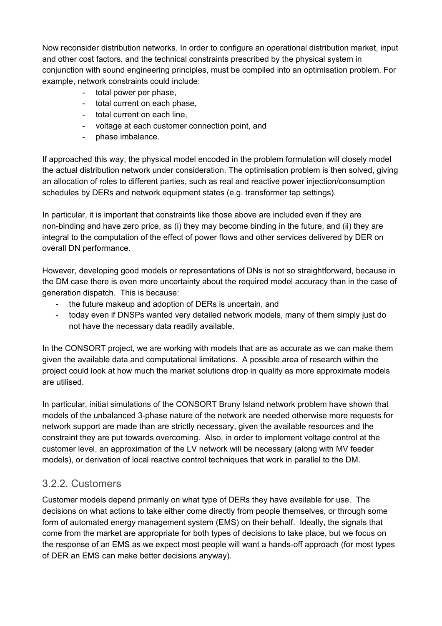Now reconsider distribution networks. In order to configure an operational distribution market, input and other cost factors, and the technical constraints prescribed by the physical system in conjunction with sound engineering principles, must be compiled into an optimisation problem. For example, network constraints could include:

- total power per phase,
- total current on each phase,
- total current on each line,
- voltage at each customer connection point, and
- phase imbalance.

If approached this way, the physical model encoded in the problem formulation will closely model the actual distribution network under consideration. The optimisation problem is then solved, giving an allocation of roles to different parties, such as real and reactive power injection/consumption schedules by DERs and network equipment states (e.g. transformer tap settings).

In particular, it is important that constraints like those above are included even if they are non-binding and have zero price, as (i) they may become binding in the future, and (ii) they are integral to the computation of the effect of power flows and other services delivered by DER on overall DN performance.

However, developing good models or representations of DNs is not so straightforward, because in the DM case there is even more uncertainty about the required model accuracy than in the case of generation dispatch. This is because:

- the future makeup and adoption of DERs is uncertain, and
- today even if DNSPs wanted very detailed network models, many of them simply just do not have the necessary data readily available.

In the CONSORT project, we are working with models that are as accurate as we can make them given the available data and computational limitations. A possible area of research within the project could look at how much the market solutions drop in quality as more approximate models are utilised.

In particular, initial simulations of the CONSORT Bruny Island network problem have shown that models of the unbalanced 3-phase nature of the network are needed otherwise more requests for network support are made than are strictly necessary, given the available resources and the constraint they are put towards overcoming. Also, in order to implement voltage control at the customer level, an approximation of the LV network will be necessary (along with MV feeder models), or derivation of local reactive control techniques that work in parallel to the DM.

#### <span id="page-9-0"></span>3.2.2. Customers

Customer models depend primarily on what type of DERs they have available for use. The decisions on what actions to take either come directly from people themselves, or through some form of automated energy management system (EMS) on their behalf. Ideally, the signals that come from the market are appropriate for both types of decisions to take place, but we focus on the response of an EMS as we expect most people will want a hands-off approach (for most types of DER an EMS can make better decisions anyway).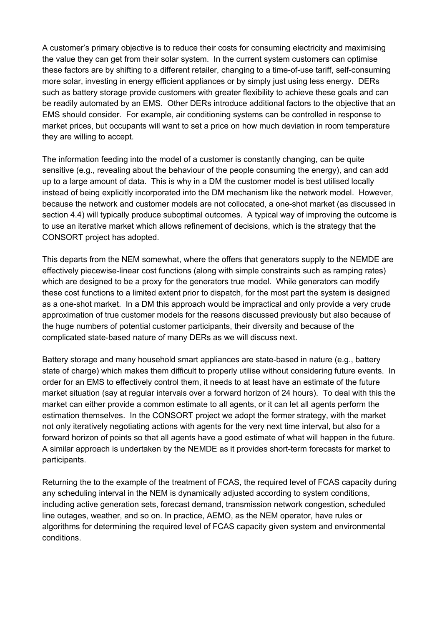A customer's primary objective is to reduce their costs for consuming electricity and maximising the value they can get from their solar system. In the current system customers can optimise these factors are by shifting to a different retailer, changing to a time-of-use tariff, self-consuming more solar, investing in energy efficient appliances or by simply just using less energy. DERs such as battery storage provide customers with greater flexibility to achieve these goals and can be readily automated by an EMS. Other DERs introduce additional factors to the objective that an EMS should consider. For example, air conditioning systems can be controlled in response to market prices, but occupants will want to set a price on how much deviation in room temperature they are willing to accept.

The information feeding into the model of a customer is constantly changing, can be quite sensitive (e.g., revealing about the behaviour of the people consuming the energy), and can add up to a large amount of data. This is why in a DM the customer model is best utilised locally instead of being explicitly incorporated into the DM mechanism like the network model. However, because the network and customer models are not collocated, a one-shot market (as discussed in section 4.4) will typically produce suboptimal outcomes. A typical way of improving the outcome is to use an iterative market which allows refinement of decisions, which is the strategy that the CONSORT project has adopted.

This departs from the NEM somewhat, where the offers that generators supply to the NEMDE are effectively piecewise-linear cost functions (along with simple constraints such as ramping rates) which are designed to be a proxy for the generators true model. While generators can modify these cost functions to a limited extent prior to dispatch, for the most part the system is designed as a one-shot market. In a DM this approach would be impractical and only provide a very crude approximation of true customer models for the reasons discussed previously but also because of the huge numbers of potential customer participants, their diversity and because of the complicated state-based nature of many DERs as we will discuss next.

Battery storage and many household smart appliances are state-based in nature (e.g., battery state of charge) which makes them difficult to properly utilise without considering future events. In order for an EMS to effectively control them, it needs to at least have an estimate of the future market situation (say at regular intervals over a forward horizon of 24 hours). To deal with this the market can either provide a common estimate to all agents, or it can let all agents perform the estimation themselves. In the CONSORT project we adopt the former strategy, with the market not only iteratively negotiating actions with agents for the very next time interval, but also for a forward horizon of points so that all agents have a good estimate of what will happen in the future. A similar approach is undertaken by the NEMDE as it provides short-term forecasts for market to participants.

Returning the to the example of the treatment of FCAS, the required level of FCAS capacity during any scheduling interval in the NEM is dynamically adjusted according to system conditions, including active generation sets, forecast demand, transmission network congestion, scheduled line outages, weather, and so on. In practice, AEMO, as the NEM operator, have rules or algorithms for determining the required level of FCAS capacity given system and environmental conditions.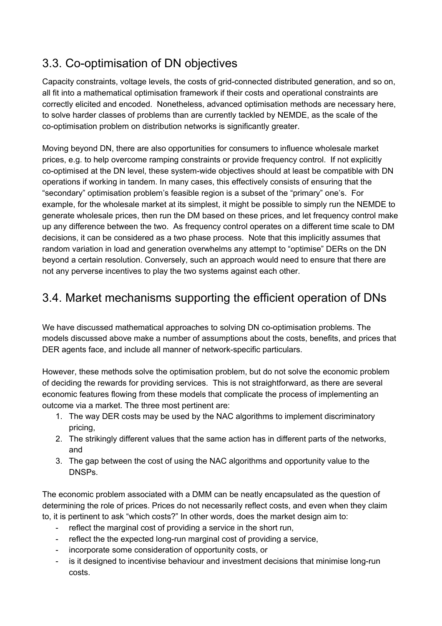### <span id="page-11-0"></span>3.3. Co-optimisation of DN objectives

Capacity constraints, voltage levels, the costs of grid-connected distributed generation, and so on, all fit into a mathematical optimisation framework if their costs and operational constraints are correctly elicited and encoded. Nonetheless, advanced optimisation methods are necessary here, to solve harder classes of problems than are currently tackled by NEMDE, as the scale of the co-optimisation problem on distribution networks is significantly greater.

Moving beyond DN, there are also opportunities for consumers to influence wholesale market prices, e.g. to help overcome ramping constraints or provide frequency control. If not explicitly co-optimised at the DN level, these system-wide objectives should at least be compatible with DN operations if working in tandem. In many cases, this effectively consists of ensuring that the "secondary" optimisation problem's feasible region is a subset of the "primary" one's. For example, for the wholesale market at its simplest, it might be possible to simply run the NEMDE to generate wholesale prices, then run the DM based on these prices, and let frequency control make up any difference between the two. As frequency control operates on a different time scale to DM decisions, it can be considered as a two phase process. Note that this implicitly assumes that random variation in load and generation overwhelms any attempt to "optimise" DERs on the DN beyond a certain resolution. Conversely, such an approach would need to ensure that there are not any perverse incentives to play the two systems against each other.

### <span id="page-11-1"></span>3.4. Market mechanisms supporting the efficient operation of DNs

We have discussed mathematical approaches to solving DN co-optimisation problems. The models discussed above make a number of assumptions about the costs, benefits, and prices that DER agents face, and include all manner of network-specific particulars.

However, these methods solve the optimisation problem, but do not solve the economic problem of deciding the rewards for providing services. This is not straightforward, as there are several economic features flowing from these models that complicate the process of implementing an outcome via a market. The three most pertinent are:

- 1. The way DER costs may be used by the NAC algorithms to implement discriminatory pricing,
- 2. The strikingly different values that the same action has in different parts of the networks, and
- 3. The gap between the cost of using the NAC algorithms and opportunity value to the DNSPs.

The economic problem associated with a DMM can be neatly encapsulated as the question of determining the role of prices. Prices do not necessarily reflect costs, and even when they claim to, it is pertinent to ask "which costs?" In other words, does the market design aim to:

- reflect the marginal cost of providing a service in the short run,
- reflect the the expected long-run marginal cost of providing a service,
- incorporate some consideration of opportunity costs, or
- is it designed to incentivise behaviour and investment decisions that minimise long-run costs.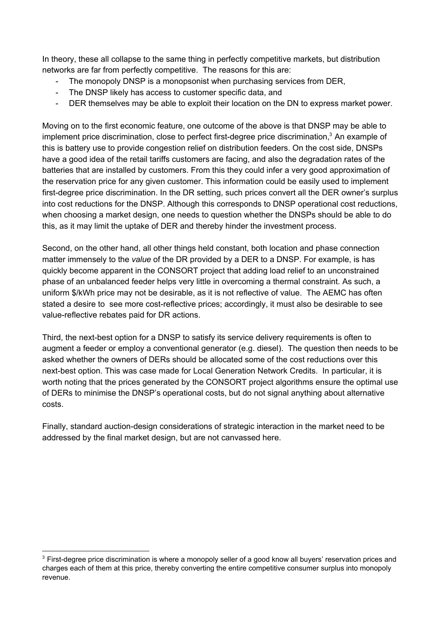In theory, these all collapse to the same thing in perfectly competitive markets, but distribution networks are far from perfectly competitive. The reasons for this are:

- The monopoly DNSP is a monopsonist when purchasing services from DER,
- The DNSP likely has access to customer specific data, and
- DER themselves may be able to exploit their location on the DN to express market power.

Moving on to the first economic feature, one outcome of the above is that DNSP may be able to implement price discrimination, close to perfect first-degree price discrimination,<sup>3</sup> An example of this is battery use to provide congestion relief on distribution feeders. On the cost side, DNSPs have a good idea of the retail tariffs customers are facing, and also the degradation rates of the batteries that are installed by customers. From this they could infer a very good approximation of the reservation price for any given customer. This information could be easily used to implement first-degree price discrimination. In the DR setting, such prices convert all the DER owner's surplus into cost reductions for the DNSP. Although this corresponds to DNSP operational cost reductions, when choosing a market design, one needs to question whether the DNSPs should be able to do this, as it may limit the uptake of DER and thereby hinder the investment process.

Second, on the other hand, all other things held constant, both location and phase connection matter immensely to the *value* of the DR provided by a DER to a DNSP. For example, is has quickly become apparent in the CONSORT project that adding load relief to an unconstrained phase of an unbalanced feeder helps very little in overcoming a thermal constraint. As such, a uniform \$/kWh price may not be desirable, as it is not reflective of value. The AEMC has often stated a desire to see more cost-reflective prices; accordingly, it must also be desirable to see value-reflective rebates paid for DR actions.

Third, the next-best option for a DNSP to satisfy its service delivery requirements is often to augment a feeder or employ a conventional generator (e.g. diesel). The question then needs to be asked whether the owners of DERs should be allocated some of the cost reductions over this next-best option. This was case made for Local Generation Network Credits. In particular, it is worth noting that the prices generated by the CONSORT project algorithms ensure the optimal use of DERs to minimise the DNSP's operational costs, but do not signal anything about alternative costs.

Finally, standard auction-design considerations of strategic interaction in the market need to be addressed by the final market design, but are not canvassed here.

<sup>&</sup>lt;sup>3</sup> First-degree price discrimination is where a monopoly seller of a good know all buyers' reservation prices and charges each of them at this price, thereby converting the entire competitive consumer surplus into monopoly revenue.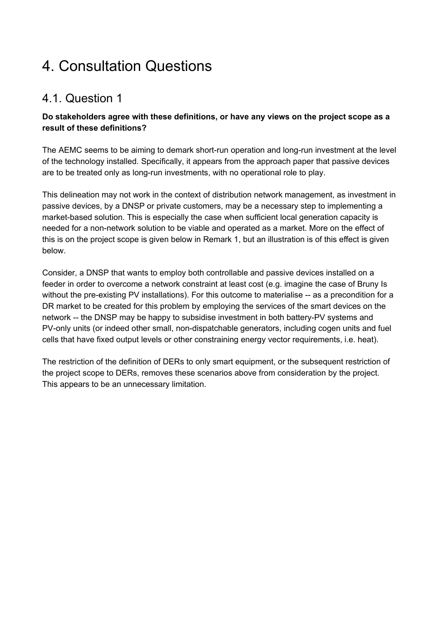## <span id="page-13-0"></span>4. Consultation Questions

### <span id="page-13-1"></span>4.1. Question 1

#### **Do stakeholders agree with these definitions, or have any views on the project scope as a result of these definitions?**

The AEMC seems to be aiming to demark short-run operation and long-run investment at the level of the technology installed. Specifically, it appears from the approach paper that passive devices are to be treated only as long-run investments, with no operational role to play.

This delineation may not work in the context of distribution network management, as investment in passive devices, by a DNSP or private customers, may be a necessary step to implementing a market-based solution. This is especially the case when sufficient local generation capacity is needed for a non-network solution to be viable and operated as a market. More on the effect of this is on the project scope is given below in Remark 1, but an illustration is of this effect is given below.

Consider, a DNSP that wants to employ both controllable and passive devices installed on a feeder in order to overcome a network constraint at least cost (e.g. imagine the case of Bruny Is without the pre-existing PV installations). For this outcome to materialise -- as a precondition for a DR market to be created for this problem by employing the services of the smart devices on the network -- the DNSP may be happy to subsidise investment in both battery-PV systems and PV-only units (or indeed other small, non-dispatchable generators, including cogen units and fuel cells that have fixed output levels or other constraining energy vector requirements, i.e. heat).

The restriction of the definition of DERs to only smart equipment, or the subsequent restriction of the project scope to DERs, removes these scenarios above from consideration by the project. This appears to be an unnecessary limitation.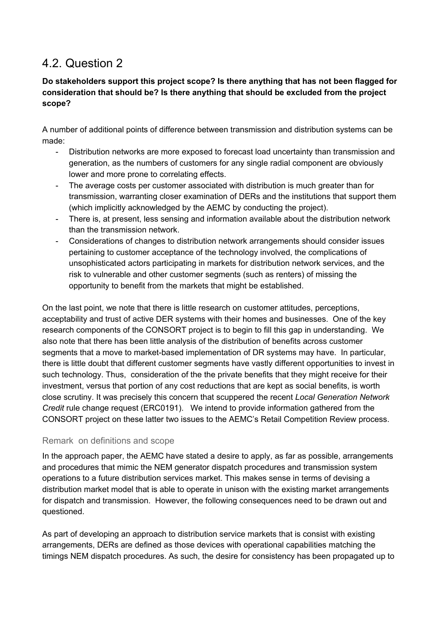### <span id="page-14-0"></span>4.2. Question 2

#### **Do stakeholders support this project scope? Is there anything that has not been flagged for consideration that should be? Is there anything that should be excluded from the project scope?**

A number of additional points of difference between transmission and distribution systems can be made:

- Distribution networks are more exposed to forecast load uncertainty than transmission and generation, as the numbers of customers for any single radial component are obviously lower and more prone to correlating effects.
- The average costs per customer associated with distribution is much greater than for transmission, warranting closer examination of DERs and the institutions that support them (which implicitly acknowledged by the AEMC by conducting the project).
- There is, at present, less sensing and information available about the distribution network than the transmission network.
- Considerations of changes to distribution network arrangements should consider issues pertaining to customer acceptance of the technology involved, the complications of unsophisticated actors participating in markets for distribution network services, and the risk to vulnerable and other customer segments (such as renters) of missing the opportunity to benefit from the markets that might be established.

On the last point, we note that there is little research on customer attitudes, perceptions, acceptability and trust of active DER systems with their homes and businesses. One of the key research components of the CONSORT project is to begin to fill this gap in understanding. We also note that there has been little analysis of the distribution of benefits across customer segments that a move to market-based implementation of DR systems may have. In particular, there is little doubt that different customer segments have vastly different opportunities to invest in such technology. Thus, consideration of the the private benefits that they might receive for their investment, versus that portion of any cost reductions that are kept as social benefits, is worth close scrutiny. It was precisely this concern that scuppered the recent *Local Generation Network Credit* rule change request (ERC0191). We intend to provide information gathered from the CONSORT project on these latter two issues to the AEMC's Retail Competition Review process.

#### <span id="page-14-1"></span>Remark on definitions and scope

In the approach paper, the AEMC have stated a desire to apply, as far as possible, arrangements and procedures that mimic the NEM generator dispatch procedures and transmission system operations to a future distribution services market. This makes sense in terms of devising a distribution market model that is able to operate in unison with the existing market arrangements for dispatch and transmission. However, the following consequences need to be drawn out and questioned.

As part of developing an approach to distribution service markets that is consist with existing arrangements, DERs are defined as those devices with operational capabilities matching the timings NEM dispatch procedures. As such, the desire for consistency has been propagated up to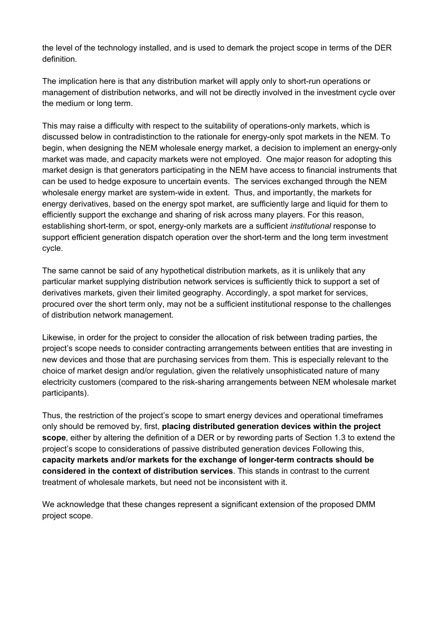the level of the technology installed, and is used to demark the project scope in terms of the DER definition.

The implication here is that any distribution market will apply only to short-run operations or management of distribution networks, and will not be directly involved in the investment cycle over the medium or long term.

This may raise a difficulty with respect to the suitability of operations-only markets, which is discussed below in contradistinction to the rationale for energy-only spot markets in the NEM. To begin, when designing the NEM wholesale energy market, a decision to implement an energy-only market was made, and capacity markets were not employed. One major reason for adopting this market design is that generators participating in the NEM have access to financial instruments that can be used to hedge exposure to uncertain events. The services exchanged through the NEM wholesale energy market are system-wide in extent. Thus, and importantly, the markets for energy derivatives, based on the energy spot market, are sufficiently large and liquid for them to efficiently support the exchange and sharing of risk across many players. For this reason, establishing short-term, or spot, energy-only markets are a sufficient *institutional* response to support efficient generation dispatch operation over the short-term and the long term investment cycle.

The same cannot be said of any hypothetical distribution markets, as it is unlikely that any particular market supplying distribution network services is sufficiently thick to support a set of derivatives markets, given their limited geography. Accordingly, a spot market for services, procured over the short term only, may not be a sufficient institutional response to the challenges of distribution network management.

Likewise, in order for the project to consider the allocation of risk between trading parties, the project's scope needs to consider contracting arrangements between entities that are investing in new devices and those that are purchasing services from them. This is especially relevant to the choice of market design and/or regulation, given the relatively unsophisticated nature of many electricity customers (compared to the risk-sharing arrangements between NEM wholesale market participants).

Thus, the restriction of the project's scope to smart energy devices and operational timeframes only should be removed by, first, **placing distributed generation devices within the project scope**, either by altering the definition of a DER or by rewording parts of Section 1.3 to extend the project's scope to considerations of passive distributed generation devices Following this, **capacity markets and/or markets for the exchange of longer-term contracts should be considered in the context of distribution services**. This stands in contrast to the current treatment of wholesale markets, but need not be inconsistent with it.

We acknowledge that these changes represent a significant extension of the proposed DMM project scope.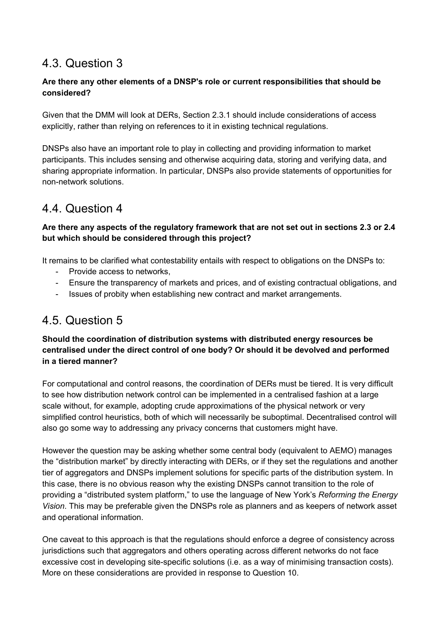### <span id="page-16-0"></span>4.3. Question 3

#### **Are there any other elements of a DNSP's role or current responsibilities that should be considered?**

Given that the DMM will look at DERs, Section 2.3.1 should include considerations of access explicitly, rather than relying on references to it in existing technical regulations.

DNSPs also have an important role to play in collecting and providing information to market participants. This includes sensing and otherwise acquiring data, storing and verifying data, and sharing appropriate information. In particular, DNSPs also provide statements of opportunities for non-network solutions.

### <span id="page-16-1"></span>4.4. Question 4

#### **Are there any aspects of the regulatory framework that are not set out in sections 2.3 or 2.4 but which should be considered through this project?**

It remains to be clarified what contestability entails with respect to obligations on the DNSPs to:

- Provide access to networks.
- Ensure the transparency of markets and prices, and of existing contractual obligations, and
- Issues of probity when establishing new contract and market arrangements.

### <span id="page-16-2"></span>4.5. Question 5

#### **Should the coordination of distribution systems with distributed energy resources be centralised under the direct control of one body? Or should it be devolved and performed in a tiered manner?**

For computational and control reasons, the coordination of DERs must be tiered. It is very difficult to see how distribution network control can be implemented in a centralised fashion at a large scale without, for example, adopting crude approximations of the physical network or very simplified control heuristics, both of which will necessarily be suboptimal. Decentralised control will also go some way to addressing any privacy concerns that customers might have.

However the question may be asking whether some central body (equivalent to AEMO) manages the "distribution market" by directly interacting with DERs, or if they set the regulations and another tier of aggregators and DNSPs implement solutions for specific parts of the distribution system. In this case, there is no obvious reason why the existing DNSPs cannot transition to the role of providing a "distributed system platform," to use the language of New York's *Reforming the Energy Vision*. This may be preferable given the DNSPs role as planners and as keepers of network asset and operational information.

One caveat to this approach is that the regulations should enforce a degree of consistency across jurisdictions such that aggregators and others operating across different networks do not face excessive cost in developing site-specific solutions (i.e. as a way of minimising transaction costs). More on these considerations are provided in response to Question 10.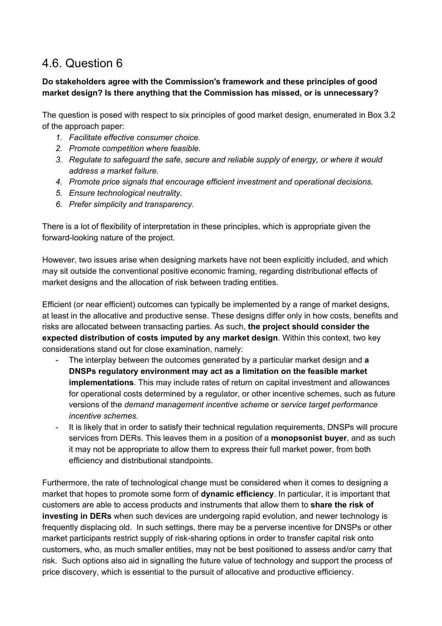### <span id="page-17-0"></span>4.6. Question 6

#### **Do stakeholders agree with the Commission's framework and these principles of good market design? Is there anything that the Commission has missed, or is unnecessary?**

The question is posed with respect to six principles of good market design, enumerated in Box 3.2 of the approach paper:

- *1. Facilitate effective consumer choice.*
- *2. Promote competition where feasible.*
- *3. Regulate to safeguard the safe, secure and reliable supply of energy, or where it would address a market failure.*
- *4. Promote price signals that encourage efficient investment and operational decisions.*
- *5. Ensure technological neutrality.*
- *6. Prefer simplicity and transparency.*

There is a lot of flexibility of interpretation in these principles, which is appropriate given the forward-looking nature of the project.

However, two issues arise when designing markets have not been explicitly included, and which may sit outside the conventional positive economic framing, regarding distributional effects of market designs and the allocation of risk between trading entities.

Efficient (or near efficient) outcomes can typically be implemented by a range of market designs, at least in the allocative and productive sense. These designs differ only in how costs, benefits and risks are allocated between transacting parties. As such, **the project should consider the expected distribution of costs imputed by any market design**. Within this context, two key considerations stand out for close examination, namely:

- The interplay between the outcomes generated by a particular market design and **a DNSPs regulatory environment may act as a limitation on the feasible market implementations**. This may include rates of return on capital investment and allowances for operational costs determined by a regulator, or other incentive schemes, such as future versions of the *demand management incentive scheme* or *service target performance incentive schemes*.
- It is likely that in order to satisfy their technical regulation requirements, DNSPs will procure services from DERs. This leaves them in a position of a **monopsonist buyer**, and as such it may not be appropriate to allow them to express their full market power, from both efficiency and distributional standpoints.

Furthermore, the rate of technological change must be considered when it comes to designing a market that hopes to promote some form of **dynamic efficiency**. In particular, it is important that customers are able to access products and instruments that allow them to **share the risk of investing in DERs** when such devices are undergoing rapid evolution, and newer technology is frequently displacing old. In such settings, there may be a perverse incentive for DNSPs or other market participants restrict supply of risk-sharing options in order to transfer capital risk onto customers, who, as much smaller entities, may not be best positioned to assess and/or carry that risk. Such options also aid in signalling the future value of technology and support the process of price discovery, which is essential to the pursuit of allocative and productive efficiency.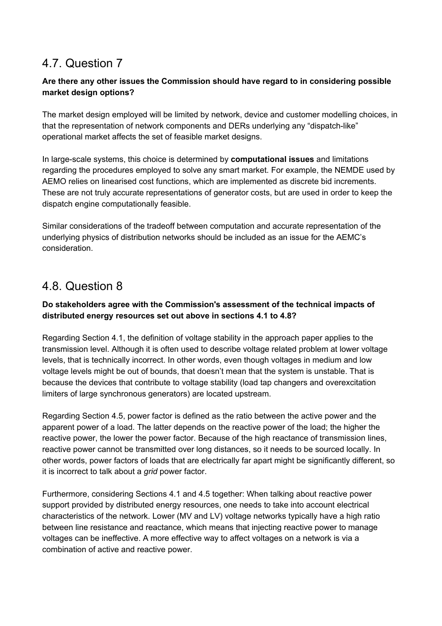### <span id="page-18-0"></span>4.7. Question 7

#### **Are there any other issues the Commission should have regard to in considering possible market design options?**

The market design employed will be limited by network, device and customer modelling choices, in that the representation of network components and DERs underlying any "dispatch-like" operational market affects the set of feasible market designs.

In large-scale systems, this choice is determined by **computational issues** a nd limitations regarding the procedures employed to solve any smart market. For example, the NEMDE used by AEMO relies on linearised cost functions, which are implemented as discrete bid increments. These are not truly accurate representations of generator costs, but are used in order to keep the dispatch engine computationally feasible.

Similar considerations of the tradeoff between computation and accurate representation of the underlying physics of distribution networks should be included as an issue for the AEMC's consideration.

### <span id="page-18-1"></span>4.8. Question 8

#### **Do stakeholders agree with the Commission's assessment of the technical impacts of distributed energy resources set out above in sections 4.1 to 4.8?**

Regarding Section 4.1, the definition of voltage stability in the approach paper applies to the transmission level. Although it is often used to describe voltage related problem at lower voltage levels, that is technically incorrect. In other words, even though voltages in medium and low voltage levels might be out of bounds, that doesn't mean that the system is unstable. That is because the devices that contribute to voltage stability (load tap changers and overexcitation limiters of large synchronous generators) are located upstream.

Regarding Section 4.5, power factor is defined as the ratio between the active power and the apparent power of a load. The latter depends on the reactive power of the load; the higher the reactive power, the lower the power factor. Because of the high reactance of transmission lines, reactive power cannot be transmitted over long distances, so it needs to be sourced locally. In other words, power factors of loads that are electrically far apart might be significantly different, so it is incorrect to talk about a *grid* power factor.

Furthermore, considering Sections 4.1 and 4.5 together: When talking about reactive power support provided by distributed energy resources, one needs to take into account electrical characteristics of the network. Lower (MV and LV) voltage networks typically have a high ratio between line resistance and reactance, which means that injecting reactive power to manage voltages can be ineffective. A more effective way to affect voltages on a network is via a combination of active and reactive power.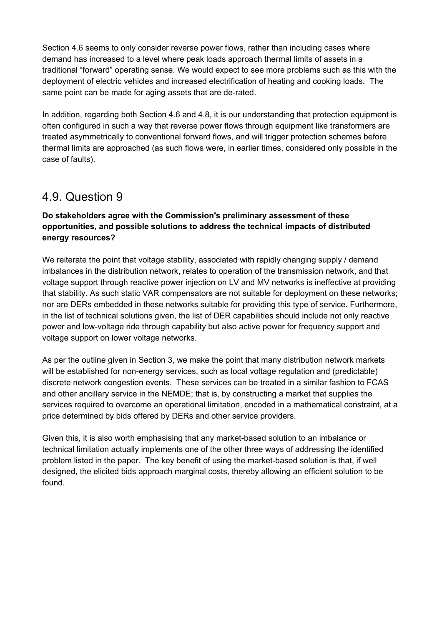Section 4.6 seems to only consider reverse power flows, rather than including cases where demand has increased to a level where peak loads approach thermal limits of assets in a traditional "forward" operating sense. We would expect to see more problems such as this with the deployment of electric vehicles and increased electrification of heating and cooking loads. The same point can be made for aging assets that are de-rated.

In addition, regarding both Section 4.6 and 4.8, it is our understanding that protection equipment is often configured in such a way that reverse power flows through equipment like transformers are treated asymmetrically to conventional forward flows, and will trigger protection schemes before thermal limits are approached (as such flows were, in earlier times, considered only possible in the case of faults).

### <span id="page-19-0"></span>4.9. Question 9

#### **Do stakeholders agree with the Commission's preliminary assessment of these opportunities, and possible solutions to address the technical impacts of distributed energy resources?**

We reiterate the point that voltage stability, associated with rapidly changing supply / demand imbalances in the distribution network, relates to operation of the transmission network, and that voltage support through reactive power injection on LV and MV networks is ineffective at providing that stability. As such static VAR compensators are not suitable for deployment on these networks; nor are DERs embedded in these networks suitable for providing this type of service. Furthermore, in the list of technical solutions given, the list of DER capabilities should include not only reactive power and low-voltage ride through capability but also active power for frequency support and voltage support on lower voltage networks.

As per the outline given in Section 3, we make the point that many distribution network markets will be established for non-energy services, such as local voltage regulation and (predictable) discrete network congestion events. These services can be treated in a similar fashion to FCAS and other ancillary service in the NEMDE; that is, by constructing a market that supplies the services required to overcome an operational limitation, encoded in a mathematical constraint, at a price determined by bids offered by DERs and other service providers.

Given this, it is also worth emphasising that any market-based solution to an imbalance or technical limitation actually implements one of the other three ways of addressing the identified problem listed in the paper. The key benefit of using the market-based solution is that, if well designed, the elicited bids approach marginal costs, thereby allowing an efficient solution to be found.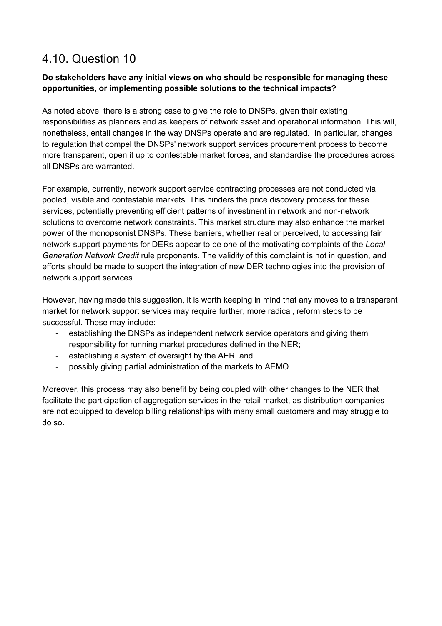### <span id="page-20-0"></span>4.10. Question 10

#### **Do stakeholders have any initial views on who should be responsible for managing these opportunities, or implementing possible solutions to the technical impacts?**

As noted above, there is a strong case to give the role to DNSPs, given their existing responsibilities as planners and as keepers of network asset and operational information. This will, nonetheless, entail changes in the way DNSPs operate and are regulated. In particular, changes to regulation that compel the DNSPs' network support services procurement process to become more transparent, open it up to contestable market forces, and standardise the procedures across all DNSPs are warranted.

For example, currently, network support service contracting processes are not conducted via pooled, visible and contestable markets. This hinders the price discovery process for these services, potentially preventing efficient patterns of investment in network and non-network solutions to overcome network constraints. This market structure may also enhance the market power of the monopsonist DNSPs. These barriers, whether real or perceived, to accessing fair network support payments for DERs appear to be one of the motivating complaints of the *Local Generation Network Credit* rule proponents. The validity of this complaint is not in question, and efforts should be made to support the integration of new DER technologies into the provision of network support services.

However, having made this suggestion, it is worth keeping in mind that any moves to a transparent market for network support services may require further, more radical, reform steps to be successful. These may include:

- establishing the DNSPs as independent network service operators and giving them responsibility for running market procedures defined in the NER;
- establishing a system of oversight by the AER; and
- possibly giving partial administration of the markets to AEMO.

Moreover, this process may also benefit by being coupled with other changes to the NER that facilitate the participation of aggregation services in the retail market, as distribution companies are not equipped to develop billing relationships with many small customers and may struggle to do so.